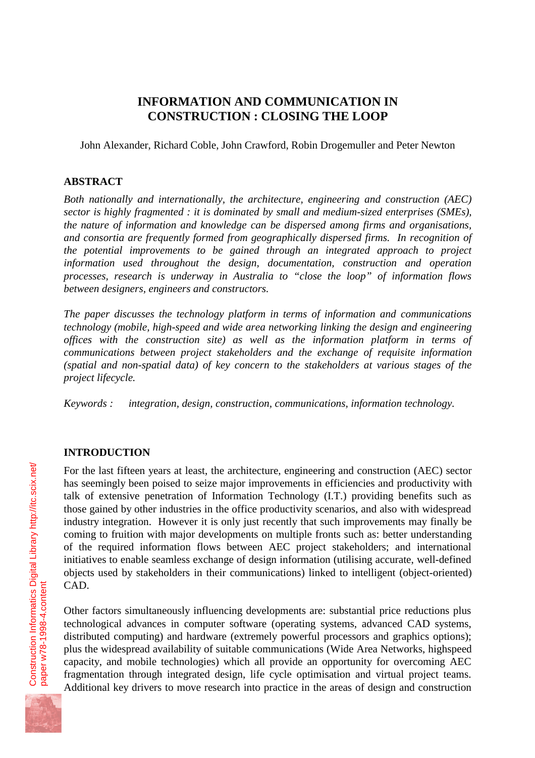# **INFORMATION AND COMMUNICATION IN CONSTRUCTION : CLOSING THE LOOP**

John Alexander, Richard Coble, John Crawford, Robin Drogemuller and Peter Newton

### **ABSTRACT**

*Both nationally and internationally, the architecture, engineering and construction (AEC) sector is highly fragmented : it is dominated by small and medium-sized enterprises (SMEs), the nature of information and knowledge can be dispersed among firms and organisations, and consortia are frequently formed from geographically dispersed firms. In recognition of the potential improvements to be gained through an integrated approach to project information used throughout the design, documentation, construction and operation processes, research is underway in Australia to "close the loop" of information flows between designers, engineers and constructors.*

*The paper discusses the technology platform in terms of information and communications technology (mobile, high-speed and wide area networking linking the design and engineering offices with the construction site) as well as the information platform in terms of communications between project stakeholders and the exchange of requisite information (spatial and non-spatial data) of key concern to the stakeholders at various stages of the project lifecycle.*

*Keywords : integration, design, construction, communications, information technology.*

#### **INTRODUCTION**

For the last fifteen years at least, the architecture, engineering and construction (AEC) sector has seemingly been poised to seize major improvements in efficiencies and productivity with talk of extensive penetration of Information Technology (I.T.) providing benefits such as those gained by other industries in the office productivity scenarios, and also with widespread industry integration. However it is only just recently that such improvements may finally be coming to fruition with major developments on multiple fronts such as: better understanding of the required information flows between AEC project stakeholders; and international initiatives to enable seamless exchange of design information (utilising accurate, well-defined objects used by stakeholders in their communications) linked to intelligent (object-oriented) CAD.

Other factors simultaneously influencing developments are: substantial price reductions plus technological advances in computer software (operating systems, advanced CAD systems, distributed computing) and hardware (extremely powerful processors and graphics options); plus the widespread availability of suitable communications (Wide Area Networks, highspeed capacity, and mobile technologies) which all provide an opportunity for overcoming AEC fragmentation through integrated design, life cycle optimisation and virtual project teams. Additional key drivers to move research into practice in the areas of design and construction

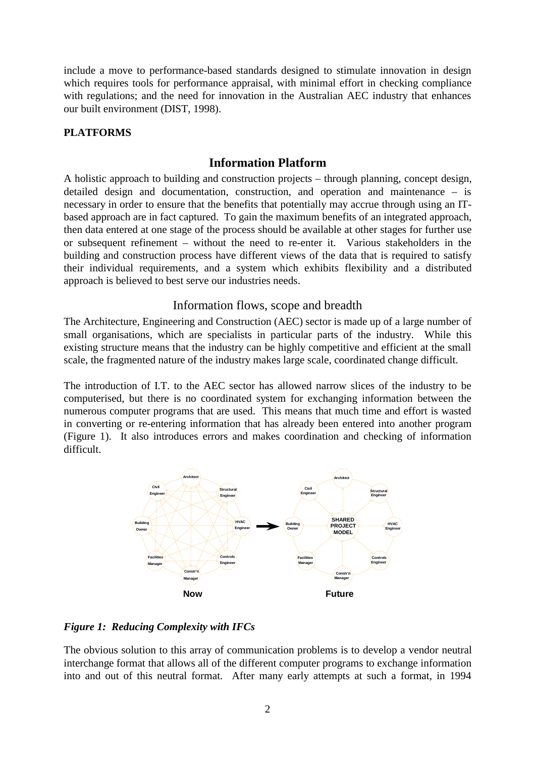include a move to performance-based standards designed to stimulate innovation in design which requires tools for performance appraisal, with minimal effort in checking compliance with regulations; and the need for innovation in the Australian AEC industry that enhances our built environment (DIST, 1998).

### **PLATFORMS**

## **Information Platform**

A holistic approach to building and construction projects – through planning, concept design, detailed design and documentation, construction, and operation and maintenance – is necessary in order to ensure that the benefits that potentially may accrue through using an ITbased approach are in fact captured. To gain the maximum benefits of an integrated approach, then data entered at one stage of the process should be available at other stages for further use or subsequent refinement – without the need to re-enter it. Various stakeholders in the building and construction process have different views of the data that is required to satisfy their individual requirements, and a system which exhibits flexibility and a distributed approach is believed to best serve our industries needs.

## Information flows, scope and breadth

The Architecture, Engineering and Construction (AEC) sector is made up of a large number of small organisations, which are specialists in particular parts of the industry. While this existing structure means that the industry can be highly competitive and efficient at the small scale, the fragmented nature of the industry makes large scale, coordinated change difficult.

The introduction of I.T. to the AEC sector has allowed narrow slices of the industry to be computerised, but there is no coordinated system for exchanging information between the numerous computer programs that are used. This means that much time and effort is wasted in converting or re-entering information that has already been entered into another program (Figure 1). It also introduces errors and makes coordination and checking of information difficult.



*Figure 1: Reducing Complexity with IFCs*

The obvious solution to this array of communication problems is to develop a vendor neutral interchange format that allows all of the different computer programs to exchange information into and out of this neutral format. After many early attempts at such a format, in 1994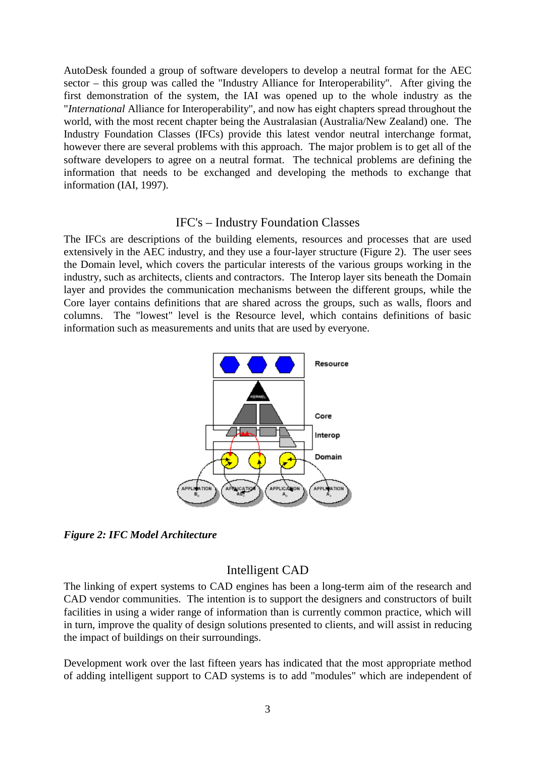AutoDesk founded a group of software developers to develop a neutral format for the AEC sector – this group was called the "Industry Alliance for Interoperability". After giving the first demonstration of the system, the IAI was opened up to the whole industry as the "*International* Alliance for Interoperability", and now has eight chapters spread throughout the world, with the most recent chapter being the Australasian (Australia/New Zealand) one. The Industry Foundation Classes (IFCs) provide this latest vendor neutral interchange format, however there are several problems with this approach. The major problem is to get all of the software developers to agree on a neutral format. The technical problems are defining the information that needs to be exchanged and developing the methods to exchange that information (IAI, 1997).

### IFC's – Industry Foundation Classes

The IFCs are descriptions of the building elements, resources and processes that are used extensively in the AEC industry, and they use a four-layer structure (Figure 2). The user sees the Domain level, which covers the particular interests of the various groups working in the industry, such as architects, clients and contractors. The Interop layer sits beneath the Domain layer and provides the communication mechanisms between the different groups, while the Core layer contains definitions that are shared across the groups, such as walls, floors and columns. The "lowest" level is the Resource level, which contains definitions of basic information such as measurements and units that are used by everyone.



*Figure 2: IFC Model Architecture*

## Intelligent CAD

The linking of expert systems to CAD engines has been a long-term aim of the research and CAD vendor communities. The intention is to support the designers and constructors of built facilities in using a wider range of information than is currently common practice, which will in turn, improve the quality of design solutions presented to clients, and will assist in reducing the impact of buildings on their surroundings.

Development work over the last fifteen years has indicated that the most appropriate method of adding intelligent support to CAD systems is to add "modules" which are independent of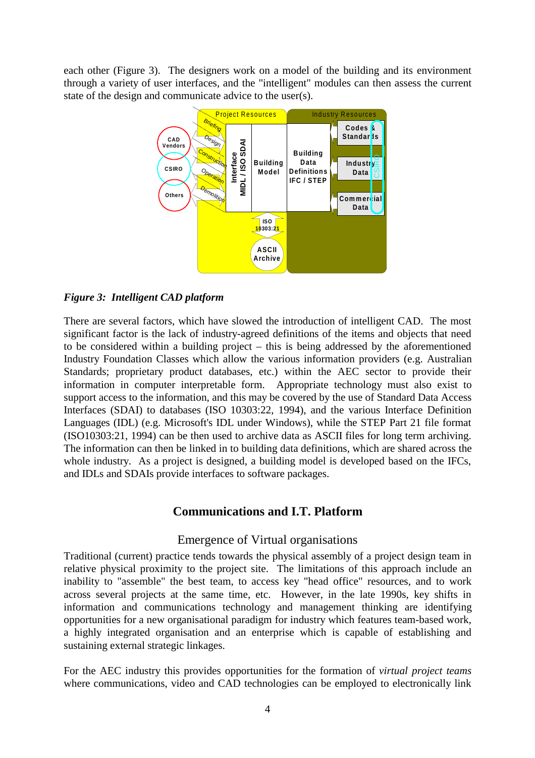each other (Figure 3). The designers work on a model of the building and its environment through a variety of user interfaces, and the "intelligent" modules can then assess the current state of the design and communicate advice to the user(s).



### *Figure 3: Intelligent CAD platform*

There are several factors, which have slowed the introduction of intelligent CAD. The most significant factor is the lack of industry-agreed definitions of the items and objects that need to be considered within a building project – this is being addressed by the aforementioned Industry Foundation Classes which allow the various information providers (e.g. Australian Standards; proprietary product databases, etc.) within the AEC sector to provide their information in computer interpretable form. Appropriate technology must also exist to support access to the information, and this may be covered by the use of Standard Data Access Interfaces (SDAI) to databases (ISO 10303:22, 1994), and the various Interface Definition Languages (IDL) (e.g. Microsoft's IDL under Windows), while the STEP Part 21 file format (ISO10303:21, 1994) can be then used to archive data as ASCII files for long term archiving. The information can then be linked in to building data definitions, which are shared across the whole industry. As a project is designed, a building model is developed based on the IFCs, and IDLs and SDAIs provide interfaces to software packages.

### **Communications and I.T. Platform**

#### Emergence of Virtual organisations

Traditional (current) practice tends towards the physical assembly of a project design team in relative physical proximity to the project site. The limitations of this approach include an inability to "assemble" the best team, to access key "head office" resources, and to work across several projects at the same time, etc. However, in the late 1990s, key shifts in information and communications technology and management thinking are identifying opportunities for a new organisational paradigm for industry which features team-based work, a highly integrated organisation and an enterprise which is capable of establishing and sustaining external strategic linkages.

For the AEC industry this provides opportunities for the formation of *virtual project teams* where communications, video and CAD technologies can be employed to electronically link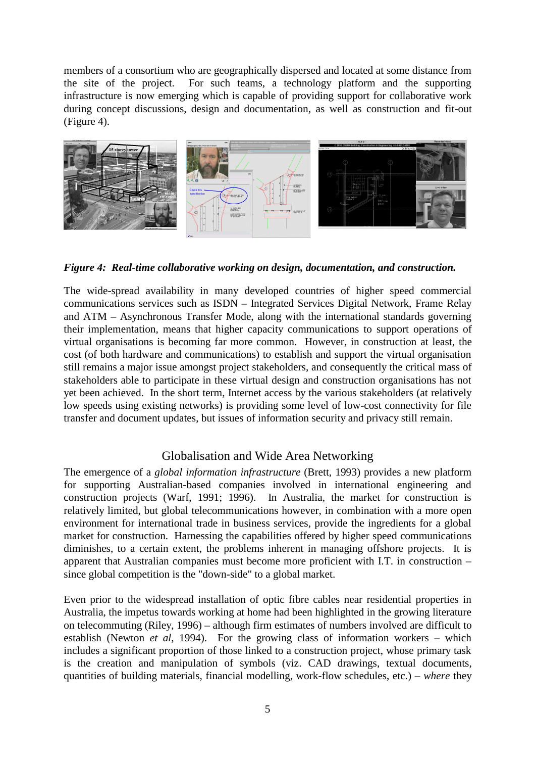members of a consortium who are geographically dispersed and located at some distance from the site of the project. For such teams, a technology platform and the supporting infrastructure is now emerging which is capable of providing support for collaborative work during concept discussions, design and documentation, as well as construction and fit-out (Figure 4).



*Figure 4: Real-time collaborative working on design, documentation, and construction.*

The wide-spread availability in many developed countries of higher speed commercial communications services such as ISDN – Integrated Services Digital Network, Frame Relay and ATM – Asynchronous Transfer Mode, along with the international standards governing their implementation, means that higher capacity communications to support operations of virtual organisations is becoming far more common. However, in construction at least, the cost (of both hardware and communications) to establish and support the virtual organisation still remains a major issue amongst project stakeholders, and consequently the critical mass of stakeholders able to participate in these virtual design and construction organisations has not yet been achieved. In the short term, Internet access by the various stakeholders (at relatively low speeds using existing networks) is providing some level of low-cost connectivity for file transfer and document updates, but issues of information security and privacy still remain.

## Globalisation and Wide Area Networking

The emergence of a *global information infrastructure* (Brett, 1993) provides a new platform for supporting Australian-based companies involved in international engineering and construction projects (Warf, 1991; 1996). In Australia, the market for construction is relatively limited, but global telecommunications however, in combination with a more open environment for international trade in business services, provide the ingredients for a global market for construction. Harnessing the capabilities offered by higher speed communications diminishes, to a certain extent, the problems inherent in managing offshore projects. It is apparent that Australian companies must become more proficient with I.T. in construction – since global competition is the "down-side" to a global market.

Even prior to the widespread installation of optic fibre cables near residential properties in Australia, the impetus towards working at home had been highlighted in the growing literature on telecommuting (Riley, 1996) – although firm estimates of numbers involved are difficult to establish (Newton *et al*, 1994). For the growing class of information workers – which includes a significant proportion of those linked to a construction project, whose primary task is the creation and manipulation of symbols (viz. CAD drawings, textual documents, quantities of building materials, financial modelling, work-flow schedules, etc.) – *where* they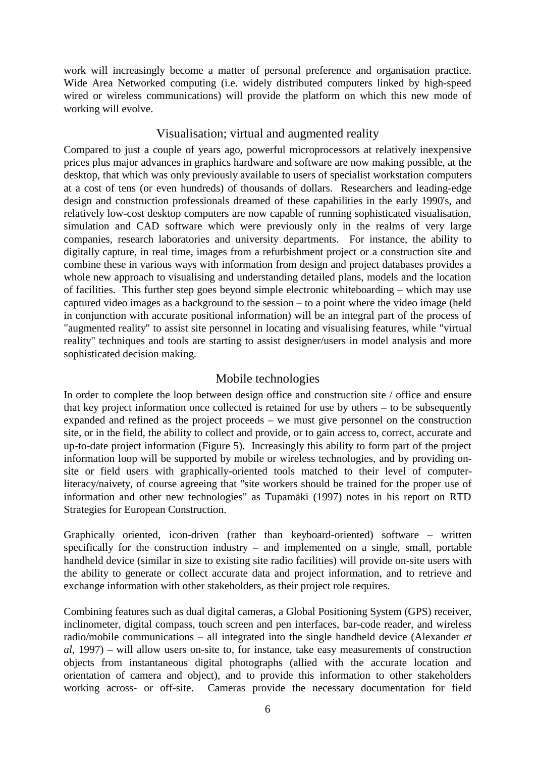work will increasingly become a matter of personal preference and organisation practice. Wide Area Networked computing (i.e. widely distributed computers linked by high-speed wired or wireless communications) will provide the platform on which this new mode of working will evolve.

### Visualisation; virtual and augmented reality

Compared to just a couple of years ago, powerful microprocessors at relatively inexpensive prices plus major advances in graphics hardware and software are now making possible, at the desktop, that which was only previously available to users of specialist workstation computers at a cost of tens (or even hundreds) of thousands of dollars. Researchers and leading-edge design and construction professionals dreamed of these capabilities in the early 1990's, and relatively low-cost desktop computers are now capable of running sophisticated visualisation, simulation and CAD software which were previously only in the realms of very large companies, research laboratories and university departments. For instance, the ability to digitally capture, in real time, images from a refurbishment project or a construction site and combine these in various ways with information from design and project databases provides a whole new approach to visualising and understanding detailed plans, models and the location of facilities. This further step goes beyond simple electronic whiteboarding – which may use captured video images as a background to the session – to a point where the video image (held in conjunction with accurate positional information) will be an integral part of the process of "augmented reality" to assist site personnel in locating and visualising features, while "virtual reality" techniques and tools are starting to assist designer/users in model analysis and more sophisticated decision making.

## Mobile technologies

In order to complete the loop between design office and construction site / office and ensure that key project information once collected is retained for use by others – to be subsequently expanded and refined as the project proceeds – we must give personnel on the construction site, or in the field, the ability to collect and provide, or to gain access to, correct, accurate and up-to-date project information (Figure 5). Increasingly this ability to form part of the project information loop will be supported by mobile or wireless technologies, and by providing onsite or field users with graphically-oriented tools matched to their level of computerliteracy/naivety, of course agreeing that "site workers should be trained for the proper use of information and other new technologies" as Tupamäki (1997) notes in his report on RTD Strategies for European Construction.

Graphically oriented, icon-driven (rather than keyboard-oriented) software – written specifically for the construction industry – and implemented on a single, small, portable handheld device (similar in size to existing site radio facilities) will provide on-site users with the ability to generate or collect accurate data and project information, and to retrieve and exchange information with other stakeholders, as their project role requires.

Combining features such as dual digital cameras, a Global Positioning System (GPS) receiver, inclinometer, digital compass, touch screen and pen interfaces, bar-code reader, and wireless radio/mobile communications – all integrated into the single handheld device (Alexander *et al*, 1997) – will allow users on-site to, for instance, take easy measurements of construction objects from instantaneous digital photographs (allied with the accurate location and orientation of camera and object), and to provide this information to other stakeholders working across- or off-site. Cameras provide the necessary documentation for field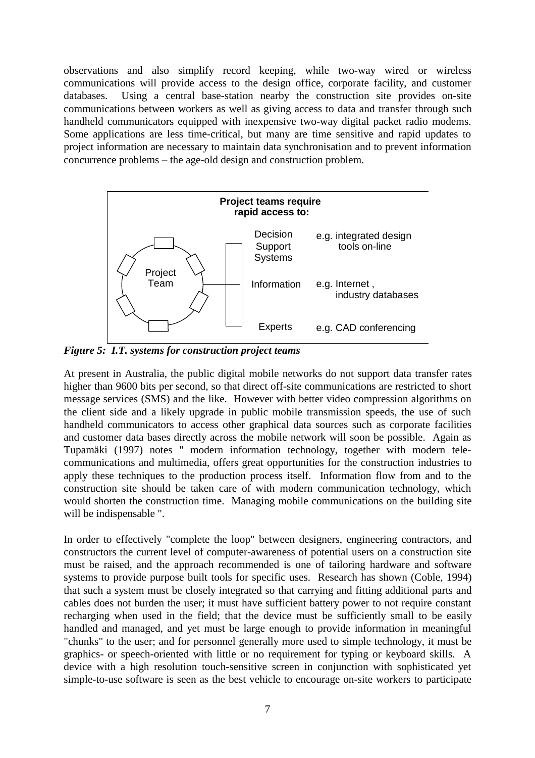observations and also simplify record keeping, while two-way wired or wireless communications will provide access to the design office, corporate facility, and customer databases. Using a central base-station nearby the construction site provides on-site communications between workers as well as giving access to data and transfer through such handheld communicators equipped with inexpensive two-way digital packet radio modems. Some applications are less time-critical, but many are time sensitive and rapid updates to project information are necessary to maintain data synchronisation and to prevent information concurrence problems – the age-old design and construction problem.



*Figure 5: I.T. systems for construction project teams*

At present in Australia, the public digital mobile networks do not support data transfer rates higher than 9600 bits per second, so that direct off-site communications are restricted to short message services (SMS) and the like. However with better video compression algorithms on the client side and a likely upgrade in public mobile transmission speeds, the use of such handheld communicators to access other graphical data sources such as corporate facilities and customer data bases directly across the mobile network will soon be possible. Again as Tupamäki (1997) notes " modern information technology, together with modern telecommunications and multimedia, offers great opportunities for the construction industries to apply these techniques to the production process itself. Information flow from and to the construction site should be taken care of with modern communication technology, which would shorten the construction time. Managing mobile communications on the building site will be indispensable ".

In order to effectively "complete the loop" between designers, engineering contractors, and constructors the current level of computer-awareness of potential users on a construction site must be raised, and the approach recommended is one of tailoring hardware and software systems to provide purpose built tools for specific uses. Research has shown (Coble, 1994) that such a system must be closely integrated so that carrying and fitting additional parts and cables does not burden the user; it must have sufficient battery power to not require constant recharging when used in the field; that the device must be sufficiently small to be easily handled and managed, and yet must be large enough to provide information in meaningful "chunks" to the user; and for personnel generally more used to simple technology, it must be graphics- or speech-oriented with little or no requirement for typing or keyboard skills. A device with a high resolution touch-sensitive screen in conjunction with sophisticated yet simple-to-use software is seen as the best vehicle to encourage on-site workers to participate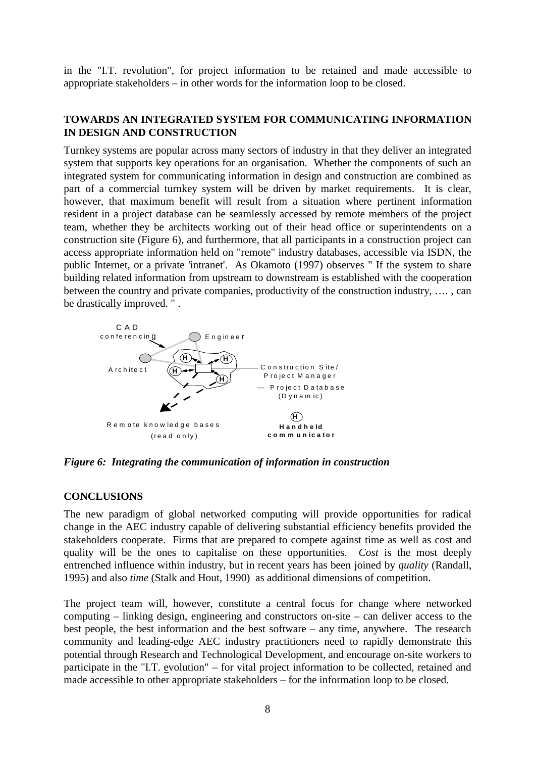in the "I.T. revolution", for project information to be retained and made accessible to appropriate stakeholders – in other words for the information loop to be closed.

### **TOWARDS AN INTEGRATED SYSTEM FOR COMMUNICATING INFORMATION IN DESIGN AND CONSTRUCTION**

Turnkey systems are popular across many sectors of industry in that they deliver an integrated system that supports key operations for an organisation. Whether the components of such an integrated system for communicating information in design and construction are combined as part of a commercial turnkey system will be driven by market requirements. It is clear, however, that maximum benefit will result from a situation where pertinent information resident in a project database can be seamlessly accessed by remote members of the project team, whether they be architects working out of their head office or superintendents on a construction site (Figure 6), and furthermore, that all participants in a construction project can access appropriate information held on "remote" industry databases, accessible via ISDN, the public Internet, or a private 'intranet'. As Okamoto (1997) observes " If the system to share building related information from upstream to downstream is established with the cooperation between the country and private companies, productivity of the construction industry, …. , can be drastically improved. " .



*Figure 6: Integrating the communication of information in construction*

#### **CONCLUSIONS**

The new paradigm of global networked computing will provide opportunities for radical change in the AEC industry capable of delivering substantial efficiency benefits provided the stakeholders cooperate. Firms that are prepared to compete against time as well as cost and quality will be the ones to capitalise on these opportunities. *Cost* is the most deeply entrenched influence within industry, but in recent years has been joined by *quality* (Randall, 1995) and also *time* (Stalk and Hout, 1990) as additional dimensions of competition.

The project team will, however, constitute a central focus for change where networked computing – linking design, engineering and constructors on-site – can deliver access to the best people, the best information and the best software – any time, anywhere. The research community and leading-edge AEC industry practitioners need to rapidly demonstrate this potential through Research and Technological Development, and encourage on-site workers to participate in the "I.T. evolution" – for vital project information to be collected, retained and made accessible to other appropriate stakeholders – for the information loop to be closed.